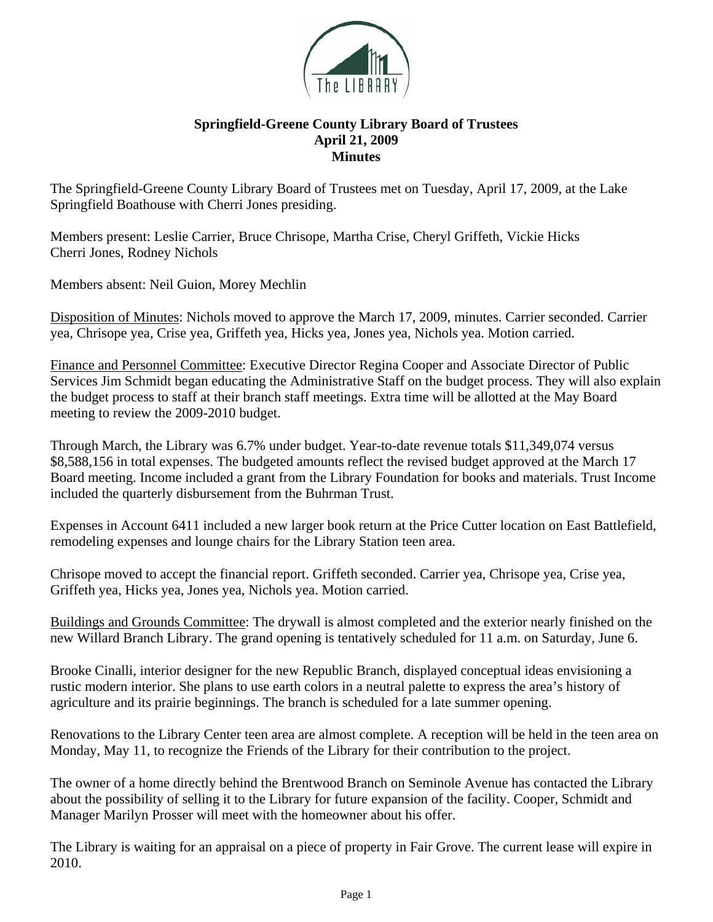

## **Springfield-Greene County Library Board of Trustees April 21, 2009 Minutes**

The Springfield-Greene County Library Board of Trustees met on Tuesday, April 17, 2009, at the Lake Springfield Boathouse with Cherri Jones presiding.

Members present: Leslie Carrier, Bruce Chrisope, Martha Crise, Cheryl Griffeth, Vickie Hicks Cherri Jones, Rodney Nichols

Members absent: Neil Guion, Morey Mechlin

Disposition of Minutes: Nichols moved to approve the March 17, 2009, minutes. Carrier seconded. Carrier yea, Chrisope yea, Crise yea, Griffeth yea, Hicks yea, Jones yea, Nichols yea. Motion carried.

Finance and Personnel Committee: Executive Director Regina Cooper and Associate Director of Public Services Jim Schmidt began educating the Administrative Staff on the budget process. They will also explain the budget process to staff at their branch staff meetings. Extra time will be allotted at the May Board meeting to review the 2009-2010 budget.

Through March, the Library was 6.7% under budget. Year-to-date revenue totals \$11,349,074 versus \$8,588,156 in total expenses. The budgeted amounts reflect the revised budget approved at the March 17 Board meeting. Income included a grant from the Library Foundation for books and materials. Trust Income included the quarterly disbursement from the Buhrman Trust.

Expenses in Account 6411 included a new larger book return at the Price Cutter location on East Battlefield, remodeling expenses and lounge chairs for the Library Station teen area.

Chrisope moved to accept the financial report. Griffeth seconded. Carrier yea, Chrisope yea, Crise yea, Griffeth yea, Hicks yea, Jones yea, Nichols yea. Motion carried.

Buildings and Grounds Committee: The drywall is almost completed and the exterior nearly finished on the new Willard Branch Library. The grand opening is tentatively scheduled for 11 a.m. on Saturday, June 6.

Brooke Cinalli, interior designer for the new Republic Branch, displayed conceptual ideas envisioning a rustic modern interior. She plans to use earth colors in a neutral palette to express the area's history of agriculture and its prairie beginnings. The branch is scheduled for a late summer opening.

Renovations to the Library Center teen area are almost complete. A reception will be held in the teen area on Monday, May 11, to recognize the Friends of the Library for their contribution to the project.

The owner of a home directly behind the Brentwood Branch on Seminole Avenue has contacted the Library about the possibility of selling it to the Library for future expansion of the facility. Cooper, Schmidt and Manager Marilyn Prosser will meet with the homeowner about his offer.

The Library is waiting for an appraisal on a piece of property in Fair Grove. The current lease will expire in 2010.